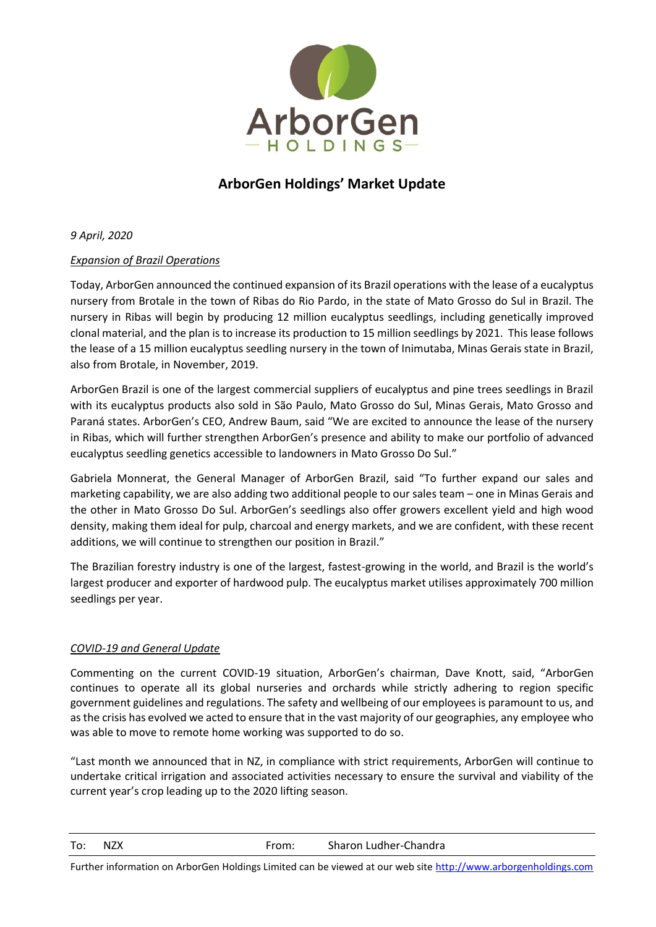

# **ArborGen Holdings' Market Update**

*9 April, 2020*

## *Expansion of Brazil Operations*

Today, ArborGen announced the continued expansion of its Brazil operations with the lease of a eucalyptus nursery from Brotale in the town of Ribas do Rio Pardo, in the state of Mato Grosso do Sul in Brazil. The nursery in Ribas will begin by producing 12 million eucalyptus seedlings, including genetically improved clonal material, and the plan is to increase its production to 15 million seedlings by 2021. Thislease follows the lease of a 15 million eucalyptus seedling nursery in the town of Inimutaba, Minas Gerais state in Brazil, also from Brotale, in November, 2019.

ArborGen Brazil is one of the largest commercial suppliers of eucalyptus and pine trees seedlings in Brazil with its eucalyptus products also sold in São Paulo, Mato Grosso do Sul, Minas Gerais, Mato Grosso and Paraná states. ArborGen's CEO, Andrew Baum, said "We are excited to announce the lease of the nursery in Ribas, which will further strengthen ArborGen's presence and ability to make our portfolio of advanced eucalyptus seedling genetics accessible to landowners in Mato Grosso Do Sul."

Gabriela Monnerat, the General Manager of ArborGen Brazil, said "To further expand our sales and marketing capability, we are also adding two additional people to our sales team – one in Minas Gerais and the other in Mato Grosso Do Sul. ArborGen's seedlings also offer growers excellent yield and high wood density, making them ideal for pulp, charcoal and energy markets, and we are confident, with these recent additions, we will continue to strengthen our position in Brazil."

The Brazilian forestry industry is one of the largest, fastest-growing in the world, and Brazil is the world's largest producer and exporter of hardwood pulp. The eucalyptus market utilises approximately 700 million seedlings per year.

## *COVID-19 and General Update*

Commenting on the current COVID-19 situation, ArborGen's chairman, Dave Knott, said, "ArborGen continues to operate all its global nurseries and orchards while strictly adhering to region specific government guidelines and regulations. The safety and wellbeing of our employees is paramount to us, and as the crisis has evolved we acted to ensure that in the vast majority of our geographies, any employee who was able to move to remote home working was supported to do so.

"Last month we announced that in NZ, in compliance with strict requirements, ArborGen will continue to undertake critical irrigation and associated activities necessary to ensure the survival and viability of the current year's crop leading up to the 2020 lifting season.

To: NZX From: Sharon Ludher-Chandra

Further information on ArborGen Holdings Limited can be viewed at our web site [http://www.arborgenholdings.com](http://www.arborgenholdings.com/)